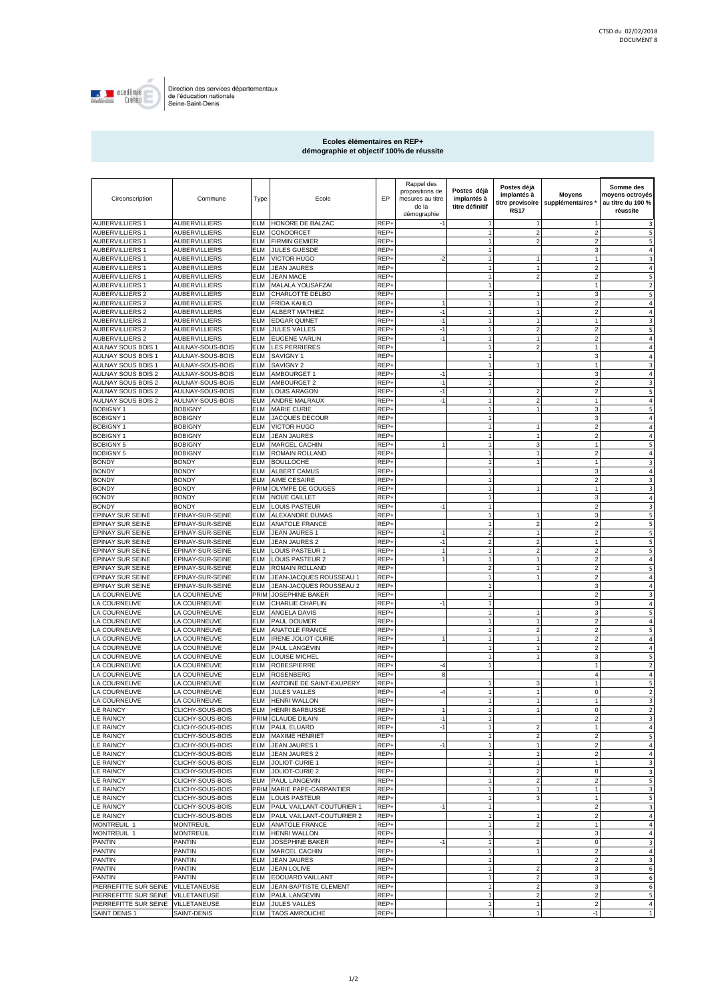

Direction des services départementaux<br>de l'éducation nationale<br>Seine-Saint-Denis

## **Ecoles élémentaires en REP+ démographie et objectif 100% de réussite**

| Circonscription                           | Commune                                      | Type                     | Ecole                                              | EP           | Rappel des<br>propositions de<br>mesures au titre<br>de la<br>démographie | Postes déjà<br>implantés à<br>titre définitif | Postes déjà<br>implantés à<br>titre provisoire<br><b>RS17</b> | <b>Moyens</b><br>supplémentaires * | Somme des<br>moyens octroyés<br>au titre du 100 %<br>réussite |
|-------------------------------------------|----------------------------------------------|--------------------------|----------------------------------------------------|--------------|---------------------------------------------------------------------------|-----------------------------------------------|---------------------------------------------------------------|------------------------------------|---------------------------------------------------------------|
| <b>AUBERVILLIERS 1</b>                    | <b>AUBERVILLIERS</b>                         | ELM                      | HONORE DE BALZAC                                   | REP+         |                                                                           |                                               | 1                                                             |                                    | 3                                                             |
| <b>AUBERVILLIERS 1</b>                    | AUBERVILLIERS                                | ELM                      | CONDORCET                                          | REP-         |                                                                           |                                               | $\overline{c}$                                                |                                    | 5                                                             |
| AUBERVILLIERS 1                           | AUBERVILLIERS                                | ELM                      | <b>FIRMIN GEMIER</b>                               | REP+         |                                                                           | $\overline{1}$                                | $\overline{\mathbf{c}}$                                       | 2                                  | 5                                                             |
| <b>AUBERVILLIERS 1</b>                    | AUBERVILLIERS                                | ELM                      | <b>JULES GUESDE</b>                                | REP+         |                                                                           |                                               |                                                               |                                    | 4                                                             |
| AUBERVILLIERS 1                           | AUBERVILLIERS                                | ELM                      | <b>VICTOR HUGO</b>                                 | REP+         | $-2$                                                                      |                                               | 1                                                             |                                    | 3                                                             |
| <b>AUBERVILLIERS 1</b>                    | AUBERVILLIERS                                | ELM                      | <b>JEAN JAURES</b>                                 | REP+         |                                                                           |                                               | 1                                                             |                                    | 4                                                             |
| AUBERVILLIERS 1                           | AUBERVILLIERS                                | ELM                      | <b>JEAN MACE</b>                                   | REP+         |                                                                           |                                               | $\overline{2}$                                                |                                    | 5                                                             |
| AUBERVILLIERS 1                           | AUBERVILLIERS                                | ELM                      | MALALA YOUSAFZAI                                   | REP+         |                                                                           |                                               |                                                               |                                    | $\overline{2}$                                                |
| <b>AUBERVILLIERS 2</b>                    | AUBERVILLIERS                                | ELM                      | CHARLOTTE DELBO                                    | REP+         |                                                                           |                                               | 1                                                             | 3                                  | 5                                                             |
| <b>AUBERVILLIERS 2</b>                    | <b>AUBERVILLIERS</b><br><b>AUBERVILLIERS</b> | <b>ELM</b><br>ELM        | <b>FRIDA KAHLO</b>                                 | REP+<br>REP+ | $\mathbf{1}$<br>$-1$                                                      | $\mathbf{1}$<br>$\mathbf{1}$                  | $\mathbf{1}$<br>$\mathbf{1}$                                  | $\overline{2}$<br>$\overline{2}$   | $\overline{4}$<br>$\overline{4}$                              |
| AUBERVILLIERS 2<br><b>AUBERVILLIERS 2</b> | AUBERVILLIERS                                | <b>ELM</b>               | ALBERT MATHIEZ<br><b>EDGAR QUINET</b>              | REP+         | $-1$                                                                      | $\mathbf{1}$                                  | $\mathbf{1}$                                                  | $\mathbf{1}$                       | 3                                                             |
| <b>AUBERVILLIERS 2</b>                    | <b>AUBERVILLIERS</b>                         | ELM                      | <b>JULES VALLES</b>                                | REP+         | $-1$                                                                      | $\overline{1}$                                | $\overline{\mathbf{c}}$                                       | $\overline{2}$                     | 5                                                             |
| <b>AUBERVILLIERS 2</b>                    | AUBERVILLIERS                                | ELM                      | <b>EUGENE VARLIN</b>                               | REP+         | $-1$                                                                      | $\mathbf{1}$                                  | $\mathbf{1}$                                                  | $\overline{2}$                     | $\overline{4}$                                                |
| AULNAY SOUS BOIS 1                        | AULNAY-SOUS-BOIS                             | ELM                      | <b>LES PERRIERES</b>                               | REP+         |                                                                           | $\mathbf{1}$                                  | $\overline{\mathbf{c}}$                                       |                                    | 4                                                             |
| AULNAY SOUS BOIS 1                        | AULNAY-SOUS-BOIS                             | ELM                      | SAVIGNY 1                                          | REP+         |                                                                           | $\mathbf{1}$                                  |                                                               | 3                                  | $\overline{4}$                                                |
| AULNAY SOUS BOIS 1                        | AULNAY-SOUS-BOIS                             | ELM                      | SAVIGNY 2                                          | REP+         |                                                                           | $\mathbf{1}$                                  |                                                               | 1                                  | 3                                                             |
| AULNAY SOUS BOIS 2                        | AULNAY-SOUS-BOIS                             | ELM                      | AMBOURGET 1                                        | REP+         | $-1$                                                                      | $\mathbf{1}$                                  |                                                               | 3                                  | $\overline{4}$                                                |
| AULNAY SOUS BOIS 2                        | AULNAY-SOUS-BOIS                             | ELM                      | AMBOURGET 2                                        | REP+         | $-1$                                                                      | $\mathbf{1}$                                  |                                                               | $\overline{2}$                     | 3                                                             |
| AULNAY SOUS BOIS 2                        | AULNAY-SOUS-BOIS                             | ELM                      | <b>LOUIS ARAGON</b>                                | REP+         | $-1$                                                                      | $\mathbf{1}$                                  | $\overline{\mathbf{c}}$                                       | $\overline{2}$                     | 5                                                             |
| AULNAY SOUS BOIS 2                        | AULNAY-SOUS-BOIS                             | ELM                      | ANDRE MALRAUX                                      | REP+         | $-1$                                                                      | $\overline{1}$                                | $\overline{2}$                                                |                                    | $\overline{a}$                                                |
| <b>BOBIGNY1</b>                           | <b>BOBIGNY</b>                               | ELM                      | <b>MARIE CURIE</b>                                 | REP+         |                                                                           | $\mathbf{1}$                                  | 1                                                             | 3                                  | 5                                                             |
| <b>BOBIGNY1</b>                           | <b>BOBIGNY</b>                               | ELM                      | <b>JACQUES DECOUR</b>                              | REP-         |                                                                           |                                               |                                                               | 3                                  | 4                                                             |
| <b>BOBIGNY1</b><br><b>BOBIGNY1</b>        | <b>BOBIGNY</b>                               | ELM<br>ELM               | <b>VICTOR HUGO</b>                                 | REP+<br>REP+ |                                                                           | $\overline{1}$                                | 1<br>1                                                        | $\overline{2}$                     | 4<br>4                                                        |
| <b>BOBIGNY 5</b>                          | <b>BOBIGNY</b><br><b>BOBIGNY</b>             | ELM                      | <b>JEAN JAURES</b><br><b>MARCEL CACHIN</b>         | REP+         |                                                                           |                                               | 3                                                             |                                    | 5                                                             |
| <b>BOBIGNY 5</b>                          | <b>BOBIGNY</b>                               | ELM                      | ROMAIN ROLLAND                                     | REP-         |                                                                           |                                               | $\overline{1}$                                                |                                    | 4                                                             |
| <b>BONDY</b>                              | <b>BONDY</b>                                 | ELM                      | <b>BOULLOCHE</b>                                   | REP+         |                                                                           |                                               | 1                                                             |                                    | 3                                                             |
| <b>BONDY</b>                              | <b>BONDY</b>                                 | ELM                      | ALBERT CAMUS                                       | REP-         |                                                                           |                                               |                                                               |                                    | 4                                                             |
| <b>BONDY</b>                              | <b>BONDY</b>                                 | ELM                      | AIME CESAIRE                                       | REP-         |                                                                           |                                               |                                                               | 2                                  | 3                                                             |
| <b>BONDY</b>                              | <b>BONDY</b>                                 | PRIM                     | OLYMPE DE GOUGES                                   | REP+         |                                                                           |                                               |                                                               |                                    | 3                                                             |
| <b>BONDY</b>                              | <b>BONDY</b>                                 | ELM                      | <b>NOUE CAILLET</b>                                | REP+         |                                                                           | $\overline{1}$                                |                                                               | 3                                  | 4                                                             |
| <b>BONDY</b>                              | <b>BONDY</b>                                 | ELM                      | LOUIS PASTEUR                                      | REP+         | $-1$                                                                      |                                               |                                                               | $\overline{2}$                     | 3                                                             |
| EPINAY SUR SEINE                          | EPINAY-SUR-SEINE                             | ELM                      | ALEXANDRE DUMAS                                    | REP+         |                                                                           |                                               | 1                                                             | 3                                  | 5                                                             |
| EPINAY SUR SEINE                          | EPINAY-SUR-SEINE                             | <b>ELM</b>               | <b>ANATOLE FRANCE</b>                              | REP+         |                                                                           | $\mathbf{1}$                                  | $\overline{\mathbf{c}}$                                       | $\overline{2}$                     | 5                                                             |
| EPINAY SUR SEINE                          | EPINAY-SUR-SEINE                             | ELM                      | <b>JEAN JAURES 1</b>                               | REP+         | $-1$                                                                      | $\overline{c}$                                | 1                                                             |                                    | 5                                                             |
| EPINAY SUR SEINE                          | EPINAY-SUR-SEINE                             | <b>ELM</b>               | <b>JEAN JAURES 2</b>                               | REP+         | $-1$                                                                      | $\sqrt{2}$                                    | $\overline{2}$                                                | $\mathbf{1}$                       | 5                                                             |
| EPINAY SUR SEINE                          | EPINAY-SUR-SEINE                             | ELM                      | LOUIS PASTEUR 1                                    | REP+         | 1<br>$\mathbf{1}$                                                         | $\overline{1}$                                | $\overline{\mathbf{c}}$<br>$\mathbf{1}$                       | $\overline{2}$                     | 5                                                             |
| EPINAY SUR SEINE<br>EPINAY SUR SEINE      | EPINAY-SUR-SEINE<br>EPINAY-SUR-SEINE         | <b>ELM</b><br><b>ELM</b> | LOUIS PASTEUR 2<br>ROMAIN ROLLAND                  | REP+<br>REP+ |                                                                           | $\mathbf{1}$<br>$\sqrt{2}$                    | $\mathbf{1}$                                                  | $\overline{2}$<br>$\overline{2}$   | $\overline{4}$<br>5                                           |
| EPINAY SUR SEINE                          | EPINAY-SUR-SEINE                             | ELM                      | JEAN-JACQUES ROUSSEAU 1                            | REP+         |                                                                           | $\mathbf{1}$                                  | $\mathbf{1}$                                                  | $\overline{2}$                     | $\overline{4}$                                                |
| EPINAY SUR SEINE                          | EPINAY-SUR-SEINE                             | ELM                      | JEAN-JACQUES ROUSSEAU 2                            | REP+         |                                                                           |                                               |                                                               |                                    | 4                                                             |
| LA COURNEUVE                              | LA COURNEUVE                                 | PRIM                     | JOSEPHINE BAKER                                    | REP+         |                                                                           | $\mathbf{1}$                                  |                                                               | $\overline{2}$                     | 3                                                             |
| LA COURNEUVE                              | LA COURNEUVE                                 | ELM                      | CHARLIE CHAPLIN                                    | REP+         | $-1$                                                                      | $\mathbf{1}$                                  |                                                               | 3                                  | $\overline{a}$                                                |
| LA COURNEUVE                              | LA COURNEUVE                                 | ELM                      | ANGELA DAVIS                                       | REP+         |                                                                           | $\mathbf{1}$                                  | 1                                                             | 3                                  | 5                                                             |
| LA COURNEUVE                              | LA COURNEUVE                                 | ELM                      | PAUL DOUMER                                        | REP+         |                                                                           | $\mathbf{1}$                                  | 1                                                             | $\overline{2}$                     | 4                                                             |
| LA COURNEUVE                              | LA COURNEUVE                                 | ELM                      | ANATOLE FRANCE                                     | REP+         |                                                                           | $\mathbf{1}$                                  | $\overline{\mathbf{c}}$                                       | $\overline{2}$                     | 5                                                             |
| LA COURNEUVE                              | LA COURNEUVE                                 | ELM                      | <b>IRENE JOLIOT-CURIE</b>                          | REP+         | 1                                                                         | $\mathbf{1}$                                  | 1                                                             | $\mathfrak{p}$                     | 4                                                             |
| LA COURNEUVE                              | LA COURNEUVE                                 | ELM                      | PAUL LANGEVIN                                      | REP+         |                                                                           | $\mathbf{1}$                                  | $\mathbf{1}$                                                  | $\overline{2}$                     | $\overline{4}$                                                |
| LA COURNEUVE                              | LA COURNEUVE                                 | ELM                      | LOUISE MICHEL                                      | REP+         |                                                                           |                                               | 1                                                             |                                    | 5                                                             |
| LA COURNEUVE                              | LA COURNEUVE<br>LA COURNEUVE                 | ELM<br>ELM               | <b>ROBESPIERRE</b><br><b>ROSENBERG</b>             | REP+<br>REP- | $-4$<br>8                                                                 |                                               |                                                               | 4                                  | $\overline{2}$                                                |
| LA COURNEUVE                              |                                              |                          |                                                    | REP+         |                                                                           |                                               |                                                               |                                    | 4<br>5                                                        |
| LA COURNEUVE<br>LA COURNEUVE              | LA COURNEUVE<br>LA COURNEUVE                 | ELM<br>ELM               | ANTOINE DE SAINT-EXUPERY<br><b>JULES VALLES</b>    | REP+         | $-4$                                                                      | $\mathbf{1}$                                  | 3<br>1                                                        | $\mathbf 0$                        | $\overline{\mathbf{c}}$                                       |
| LA COURNEUVE                              | LA COURNEUVE                                 | ELM                      | <b>HENRI WALLON</b>                                | REP+         |                                                                           |                                               | 1                                                             |                                    | 3                                                             |
| <b>LE RAINCY</b>                          | CLICHY-SOUS-BOIS                             | ELM                      | <b>HENRI BARBUSSE</b>                              | REP+         |                                                                           |                                               | $\mathbf{1}$                                                  | $\Omega$                           |                                                               |
| LE RAINCY                                 | CLICHY-SOUS-BOIS                             |                          | PRIM CLAUDE DILAIN                                 | REP+         | $-1$                                                                      | 1                                             |                                                               | $\overline{a}$                     | 3                                                             |
| LE RAINCY                                 | CLICHY-SOUS-BOIS                             | ELM                      | PAUL ELUARD                                        | REP+         | $-1$                                                                      | $\mathbf{1}$                                  | $\overline{c}$                                                | 1                                  | 4                                                             |
| LE RAINCY                                 | CLICHY-SOUS-BOIS                             | ELM                      | <b>MAXIME HENRIET</b>                              | REP+         |                                                                           |                                               | 2                                                             | $\overline{a}$                     | 5                                                             |
| LE RAINCY                                 | CLICHY-SOUS-BOIS                             | ELM                      | JEAN JAURES 1                                      | REP+         | $-1$                                                                      |                                               | $\mathbf{1}$                                                  |                                    | 4                                                             |
| LE RAINCY                                 | CLICHY-SOUS-BOIS                             | ELM                      | <b>JEAN JAURES 2</b>                               | REP+         |                                                                           | $\overline{1}$                                | 1                                                             | 2                                  | $\overline{4}$                                                |
| LE RAINCY                                 | CLICHY-SOUS-BOIS                             | ELM                      | JOLIOT-CURIE 1                                     | REP+         |                                                                           |                                               | $\mathbf{1}$                                                  |                                    | 3                                                             |
| LE RAINCY                                 | CLICHY-SOUS-BOIS                             | ELM                      | JOLIOT-CURIE 2                                     | REP+         |                                                                           |                                               | 2                                                             | $\mathbf 0$                        | 3                                                             |
| LE RAINCY                                 | CLICHY-SOUS-BOIS                             | <b>ELM</b>               | PAUL LANGEVIN                                      | REP+         |                                                                           | $\mathbf{1}$                                  | $\overline{2}$                                                | $\overline{2}$                     | 5                                                             |
| LE RAINCY<br>LE RAINCY                    | CLICHY-SOUS-BOIS<br>CLICHY-SOUS-BOIS         | ELM                      | PRIM MARIE PAPE-CARPANTIER<br><b>LOUIS PASTEUR</b> | REP+<br>REP+ |                                                                           | $\mathbf{1}$<br>$\mathbf{1}$                  | $\mathbf{1}$<br>3                                             | $\mathbf{1}$<br>$\mathbf{1}$       | 3<br>5                                                        |
| LE RAINCY                                 | CLICHY-SOUS-BOIS                             | ELM                      | PAUL VAILLANT-COUTURIER 1                          | REP+         | $-1$                                                                      | $\mathbf{1}$                                  |                                                               | $\overline{2}$                     | 3                                                             |
| <b>LE RAINCY</b>                          | CLICHY-SOUS-BOIS                             | ELM                      | PAUL VAILLANT-COUTURIER 2                          | REP+         |                                                                           | $\mathbf{1}$                                  | 1                                                             | $\overline{2}$                     | $\overline{4}$                                                |
| MONTREUIL 1                               | <b>MONTREUIL</b>                             | ELM                      | <b>ANATOLE FRANCE</b>                              | REP+         |                                                                           | $\mathbf{1}$                                  | $\overline{2}$                                                |                                    | 4                                                             |
| MONTREUIL 1                               | <b>MONTREUIL</b>                             | ELM                      | <b>HENRI WALLON</b>                                | REP+         |                                                                           | $\mathbf{1}$                                  |                                                               | 3                                  | 4                                                             |
| PANTIN                                    | <b>PANTIN</b>                                | ELM                      | JOSEPHINE BAKER                                    | REP+         | $-1$                                                                      | $\mathbf{1}$                                  | $\overline{\mathbf{c}}$                                       | $\mathbf 0$                        | 3                                                             |
| <b>PANTIN</b>                             | <b>PANTIN</b>                                | ELM                      | <b>MARCEL CACHIN</b>                               | REP+         |                                                                           | $\mathbf{1}$                                  | $\mathbf{1}$                                                  | $\overline{2}$                     | $\overline{4}$                                                |
| <b>PANTIN</b>                             | <b>PANTIN</b>                                | ELM                      | <b>JEAN JAURES</b>                                 | REP+         |                                                                           | $\mathbf{1}$                                  |                                                               | $\overline{2}$                     | 3                                                             |
| <b>PANTIN</b>                             | <b>PANTIN</b>                                | ELM                      | <b>JEAN LOLIVE</b>                                 | REP+         |                                                                           | $\mathbf{1}$                                  | $\overline{2}$                                                | $\mathbf{3}$                       | 6                                                             |
| <b>PANTIN</b>                             | <b>PANTIN</b>                                | ELM                      | <b>EDOUARD VAILLANT</b>                            | REP+         |                                                                           | $\mathbf{1}$                                  | $\overline{\mathbf{c}}$                                       | 3                                  | 6                                                             |
| PIERREFITTE SUR SEINE                     | VILLETANEUSE                                 | ELM                      | JEAN-BAPTISTE CLEMENT                              | REP+         |                                                                           | $\mathbf{1}$                                  | $\overline{\mathbf{c}}$                                       | 3                                  | 6                                                             |
| PIERREFITTE SUR SEINE                     | VILLETANEUSE                                 | <b>ELM</b>               | PAUL LANGEVIN                                      | REP+         |                                                                           |                                               | $\overline{\mathbf{c}}$                                       | $\overline{2}$                     | 5                                                             |
| PIERREFITTE SUR SEINE VILLETANEUSE        |                                              | ELM                      | <b>JULES VALLES</b>                                | REP+         |                                                                           | $\mathbf{1}$                                  | 1                                                             | $\overline{a}$                     | 4                                                             |
| SAINT DENIS 1                             | SAINT-DENIS                                  | ELM                      | <b>TAOS AMROUCHE</b>                               | REP+         |                                                                           |                                               | $\mathbf{1}$                                                  | $-1$                               |                                                               |